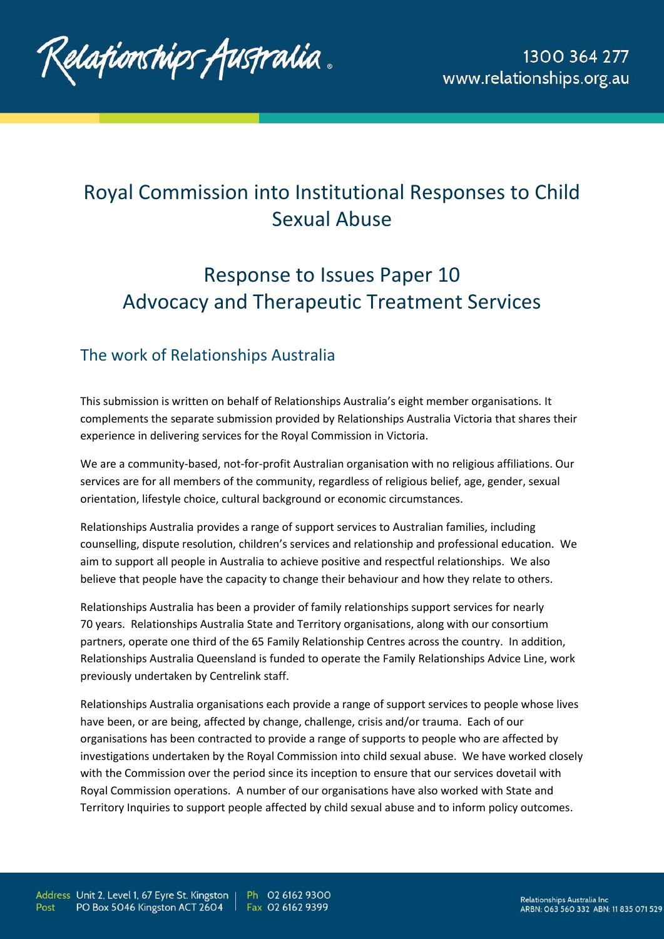

# Royal Commission into Institutional Responses to Child Sexual Abuse

# Response to Issues Paper 10 Advocacy and Therapeutic Treatment Services

# The work of Relationships Australia

This submission is written on behalf of Relationships Australia's eight member organisations. It complements the separate submission provided by Relationships Australia Victoria that shares their experience in delivering services for the Royal Commission in Victoria.

We are a community-based, not-for-profit Australian organisation with no religious affiliations. Our services are for all members of the community, regardless of religious belief, age, gender, sexual orientation, lifestyle choice, cultural background or economic circumstances.

Relationships Australia provides a range of support services to Australian families, including counselling, dispute resolution, children's services and relationship and professional education. We aim to support all people in Australia to achieve positive and respectful relationships. We also believe that people have the capacity to change their behaviour and how they relate to others.

Relationships Australia has been a provider of family relationships support services for nearly 70 years. Relationships Australia State and Territory organisations, along with our consortium partners, operate one third of the 65 Family Relationship Centres across the country. In addition, Relationships Australia Queensland is funded to operate the Family Relationships Advice Line, work previously undertaken by Centrelink staff.

Relationships Australia organisations each provide a range of support services to people whose lives have been, or are being, affected by change, challenge, crisis and/or trauma. Each of our organisations has been contracted to provide a range of supports to people who are affected by investigations undertaken by the Royal Commission into child sexual abuse. We have worked closely with the Commission over the period since its inception to ensure that our services dovetail with Royal Commission operations. A number of our organisations have also worked with State and Territory Inquiries to support people affected by child sexual abuse and to inform policy outcomes.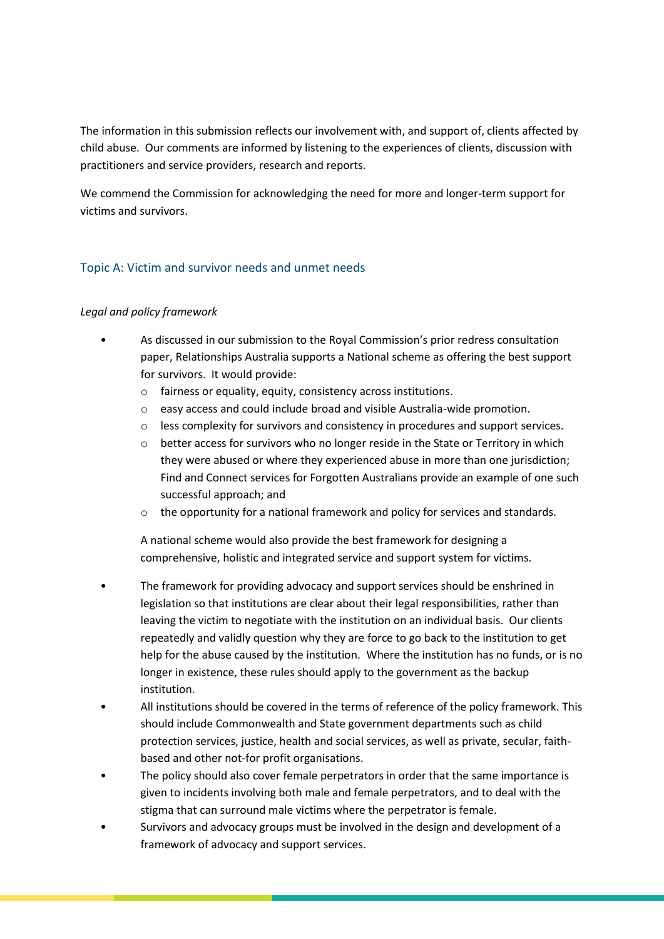The information in this submission reflects our involvement with, and support of, clients affected by child abuse. Our comments are informed by listening to the experiences of clients, discussion with practitioners and service providers, research and reports.

We commend the Commission for acknowledging the need for more and longer-term support for victims and survivors.

### Topic A: Victim and survivor needs and unmet needs

#### *Legal and policy framework*

- As discussed in our submission to the Royal Commission's prior redress consultation paper, Relationships Australia supports a National scheme as offering the best support for survivors. It would provide:
	- o fairness or equality, equity, consistency across institutions.
	- o easy access and could include broad and visible Australia-wide promotion.
	- o less complexity for survivors and consistency in procedures and support services.
	- $\circ$  better access for survivors who no longer reside in the State or Territory in which they were abused or where they experienced abuse in more than one jurisdiction; Find and Connect services for Forgotten Australians provide an example of one such successful approach; and
	- $\circ$  the opportunity for a national framework and policy for services and standards.

A national scheme would also provide the best framework for designing a comprehensive, holistic and integrated service and support system for victims.

- The framework for providing advocacy and support services should be enshrined in legislation so that institutions are clear about their legal responsibilities, rather than leaving the victim to negotiate with the institution on an individual basis. Our clients repeatedly and validly question why they are force to go back to the institution to get help for the abuse caused by the institution. Where the institution has no funds, or is no longer in existence, these rules should apply to the government as the backup institution.
- All institutions should be covered in the terms of reference of the policy framework. This should include Commonwealth and State government departments such as child protection services, justice, health and social services, as well as private, secular, faithbased and other not-for profit organisations.
- The policy should also cover female perpetrators in order that the same importance is given to incidents involving both male and female perpetrators, and to deal with the stigma that can surround male victims where the perpetrator is female.
- Survivors and advocacy groups must be involved in the design and development of a framework of advocacy and support services.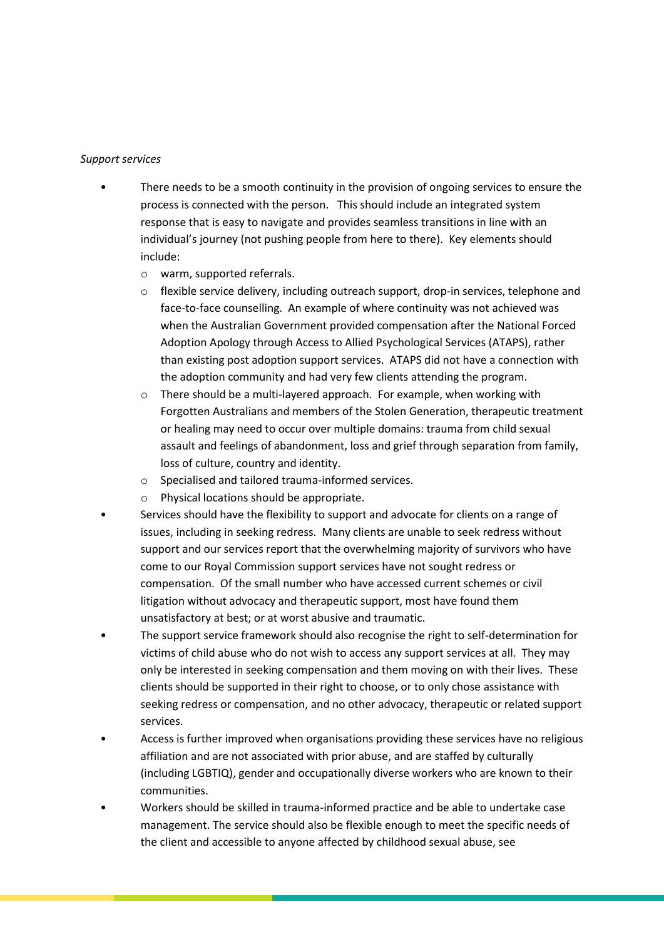#### *Support services*

- There needs to be a smooth continuity in the provision of ongoing services to ensure the process is connected with the person. This should include an integrated system response that is easy to navigate and provides seamless transitions in line with an individual's journey (not pushing people from here to there). Key elements should include:
	- o warm, supported referrals.
	- o flexible service delivery, including outreach support, drop-in services, telephone and face-to-face counselling. An example of where continuity was not achieved was when the Australian Government provided compensation after the National Forced Adoption Apology through Access to Allied Psychological Services (ATAPS), rather than existing post adoption support services. ATAPS did not have a connection with the adoption community and had very few clients attending the program.
	- $\circ$  There should be a multi-layered approach. For example, when working with Forgotten Australians and members of the Stolen Generation, therapeutic treatment or healing may need to occur over multiple domains: trauma from child sexual assault and feelings of abandonment, loss and grief through separation from family, loss of culture, country and identity.
	- o Specialised and tailored trauma-informed services.
	- o Physical locations should be appropriate.
- Services should have the flexibility to support and advocate for clients on a range of issues, including in seeking redress. Many clients are unable to seek redress without support and our services report that the overwhelming majority of survivors who have come to our Royal Commission support services have not sought redress or compensation. Of the small number who have accessed current schemes or civil litigation without advocacy and therapeutic support, most have found them unsatisfactory at best; or at worst abusive and traumatic.
- The support service framework should also recognise the right to self-determination for victims of child abuse who do not wish to access any support services at all. They may only be interested in seeking compensation and them moving on with their lives. These clients should be supported in their right to choose, or to only chose assistance with seeking redress or compensation, and no other advocacy, therapeutic or related support services.
- Access is further improved when organisations providing these services have no religious affiliation and are not associated with prior abuse, and are staffed by culturally (including LGBTIQ), gender and occupationally diverse workers who are known to their communities.
- Workers should be skilled in trauma-informed practice and be able to undertake case management. The service should also be flexible enough to meet the specific needs of the client and accessible to anyone affected by childhood sexual abuse, see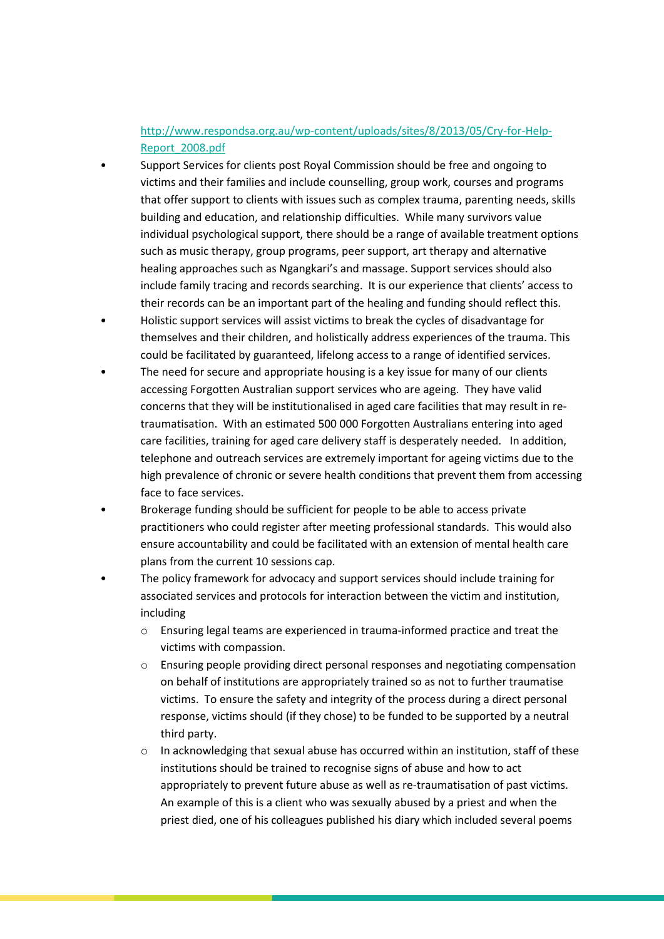## [http://www.respondsa.org.au/wp-content/uploads/sites/8/2013/05/Cry-for-Help-](http://www.respondsa.org.au/wp-content/uploads/sites/8/2013/05/Cry-for-Help-Report_2008.pdf)[Report\\_2008.pdf](http://www.respondsa.org.au/wp-content/uploads/sites/8/2013/05/Cry-for-Help-Report_2008.pdf)

- Support Services for clients post Royal Commission should be free and ongoing to victims and their families and include counselling, group work, courses and programs that offer support to clients with issues such as complex trauma, parenting needs, skills building and education, and relationship difficulties. While many survivors value individual psychological support, there should be a range of available treatment options such as music therapy, group programs, peer support, art therapy and alternative healing approaches such as Ngangkari's and massage. Support services should also include family tracing and records searching. It is our experience that clients' access to their records can be an important part of the healing and funding should reflect this.
- Holistic support services will assist victims to break the cycles of disadvantage for themselves and their children, and holistically address experiences of the trauma. This could be facilitated by guaranteed, lifelong access to a range of identified services.
- The need for secure and appropriate housing is a key issue for many of our clients accessing Forgotten Australian support services who are ageing. They have valid concerns that they will be institutionalised in aged care facilities that may result in retraumatisation. With an estimated 500 000 Forgotten Australians entering into aged care facilities, training for aged care delivery staff is desperately needed. In addition, telephone and outreach services are extremely important for ageing victims due to the high prevalence of chronic or severe health conditions that prevent them from accessing face to face services.
- Brokerage funding should be sufficient for people to be able to access private practitioners who could register after meeting professional standards. This would also ensure accountability and could be facilitated with an extension of mental health care plans from the current 10 sessions cap.
- The policy framework for advocacy and support services should include training for associated services and protocols for interaction between the victim and institution, including
	- o Ensuring legal teams are experienced in trauma-informed practice and treat the victims with compassion.
	- o Ensuring people providing direct personal responses and negotiating compensation on behalf of institutions are appropriately trained so as not to further traumatise victims. To ensure the safety and integrity of the process during a direct personal response, victims should (if they chose) to be funded to be supported by a neutral third party.
	- $\circ$  In acknowledging that sexual abuse has occurred within an institution, staff of these institutions should be trained to recognise signs of abuse and how to act appropriately to prevent future abuse as well as re-traumatisation of past victims. An example of this is a client who was sexually abused by a priest and when the priest died, one of his colleagues published his diary which included several poems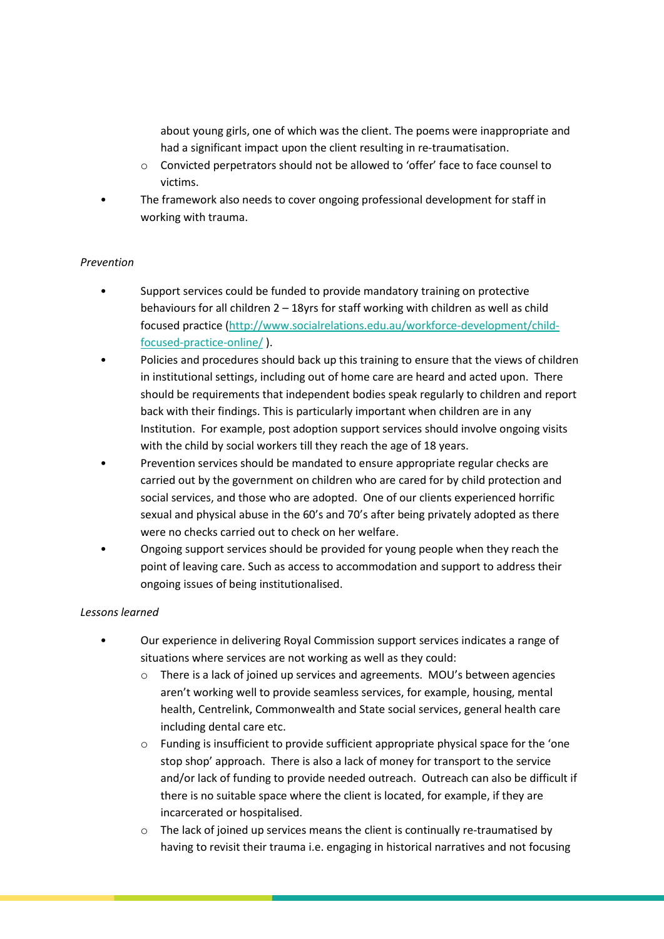about young girls, one of which was the client. The poems were inappropriate and had a significant impact upon the client resulting in re-traumatisation.

- o Convicted perpetrators should not be allowed to 'offer' face to face counsel to victims.
- The framework also needs to cover ongoing professional development for staff in working with trauma.

#### *Prevention*

- Support services could be funded to provide mandatory training on protective behaviours for all children  $2 - 18y$ rs for staff working with children as well as child focused practice [\(http://www.socialrelations.edu.au/workforce-development/child](http://www.socialrelations.edu.au/workforce-development/child-focused-practice-online/)[focused-practice-online/](http://www.socialrelations.edu.au/workforce-development/child-focused-practice-online/) ).
- Policies and procedures should back up this training to ensure that the views of children in institutional settings, including out of home care are heard and acted upon. There should be requirements that independent bodies speak regularly to children and report back with their findings. This is particularly important when children are in any Institution. For example, post adoption support services should involve ongoing visits with the child by social workers till they reach the age of 18 years.
- Prevention services should be mandated to ensure appropriate regular checks are carried out by the government on children who are cared for by child protection and social services, and those who are adopted. One of our clients experienced horrific sexual and physical abuse in the 60's and 70's after being privately adopted as there were no checks carried out to check on her welfare.
- Ongoing support services should be provided for young people when they reach the point of leaving care. Such as access to accommodation and support to address their ongoing issues of being institutionalised.

#### *Lessons learned*

- Our experience in delivering Royal Commission support services indicates a range of situations where services are not working as well as they could:
	- o There is a lack of joined up services and agreements. MOU's between agencies aren't working well to provide seamless services, for example, housing, mental health, Centrelink, Commonwealth and State social services, general health care including dental care etc.
	- $\circ$  Funding is insufficient to provide sufficient appropriate physical space for the 'one stop shop' approach. There is also a lack of money for transport to the service and/or lack of funding to provide needed outreach. Outreach can also be difficult if there is no suitable space where the client is located, for example, if they are incarcerated or hospitalised.
	- o The lack of joined up services means the client is continually re-traumatised by having to revisit their trauma i.e. engaging in historical narratives and not focusing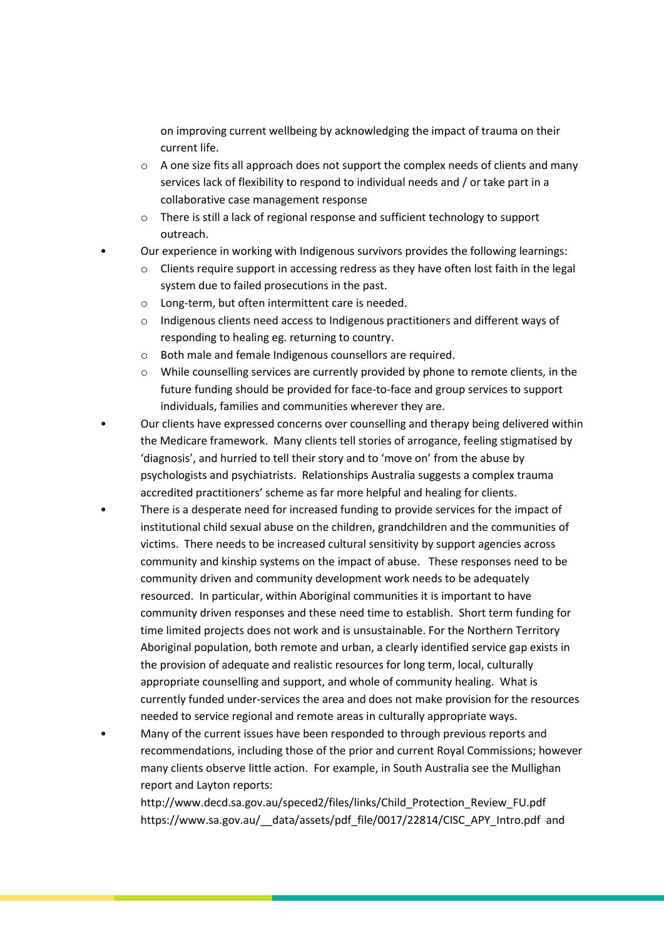on improving current wellbeing by acknowledging the impact of trauma on their current life.

- $\circ$  A one size fits all approach does not support the complex needs of clients and many services lack of flexibility to respond to individual needs and / or take part in a collaborative case management response
- o There is still a lack of regional response and sufficient technology to support outreach.
- Our experience in working with Indigenous survivors provides the following learnings:
- o Clients require support in accessing redress as they have often lost faith in the legal system due to failed prosecutions in the past.
- o Long-term, but often intermittent care is needed.
- o Indigenous clients need access to Indigenous practitioners and different ways of responding to healing eg. returning to country.
- o Both male and female Indigenous counsellors are required.
- o While counselling services are currently provided by phone to remote clients, in the future funding should be provided for face-to-face and group services to support individuals, families and communities wherever they are.
- Our clients have expressed concerns over counselling and therapy being delivered within the Medicare framework. Many clients tell stories of arrogance, feeling stigmatised by 'diagnosis', and hurried to tell their story and to 'move on' from the abuse by psychologists and psychiatrists. Relationships Australia suggests a complex trauma accredited practitioners' scheme as far more helpful and healing for clients.
- There is a desperate need for increased funding to provide services for the impact of institutional child sexual abuse on the children, grandchildren and the communities of victims. There needs to be increased cultural sensitivity by support agencies across community and kinship systems on the impact of abuse. These responses need to be community driven and community development work needs to be adequately resourced. In particular, within Aboriginal communities it is important to have community driven responses and these need time to establish. Short term funding for time limited projects does not work and is unsustainable. For the Northern Territory Aboriginal population, both remote and urban, a clearly identified service gap exists in the provision of adequate and realistic resources for long term, local, culturally appropriate counselling and support, and whole of community healing. What is currently funded under-services the area and does not make provision for the resources needed to service regional and remote areas in culturally appropriate ways.
- Many of the current issues have been responded to through previous reports and recommendations, including those of the prior and current Royal Commissions; however many clients observe little action. For example, in South Australia see the Mullighan report and Layton reports:

http://www.decd.sa.gov.au/speced2/files/links/Child\_Protection\_Review\_FU.pdf https://www.sa.gov.au/\_\_data/assets/pdf\_file/0017/22814/CISC\_APY\_Intro.pdf and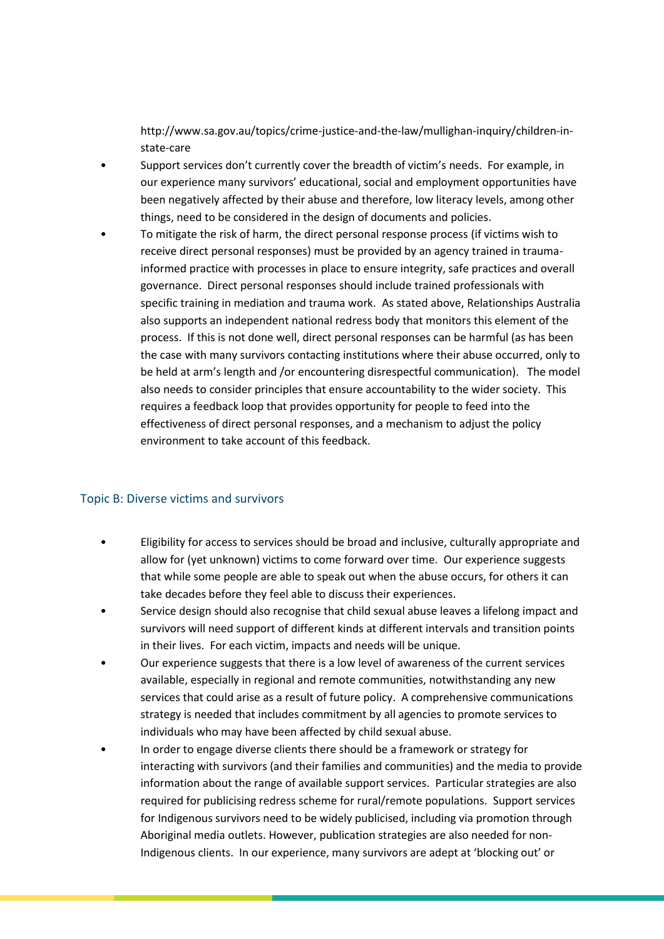http://www.sa.gov.au/topics/crime-justice-and-the-law/mullighan-inquiry/children-instate-care

- Support services don't currently cover the breadth of victim's needs. For example, in our experience many survivors' educational, social and employment opportunities have been negatively affected by their abuse and therefore, low literacy levels, among other things, need to be considered in the design of documents and policies.
- To mitigate the risk of harm, the direct personal response process (if victims wish to receive direct personal responses) must be provided by an agency trained in traumainformed practice with processes in place to ensure integrity, safe practices and overall governance. Direct personal responses should include trained professionals with specific training in mediation and trauma work. As stated above, Relationships Australia also supports an independent national redress body that monitors this element of the process. If this is not done well, direct personal responses can be harmful (as has been the case with many survivors contacting institutions where their abuse occurred, only to be held at arm's length and /or encountering disrespectful communication). The model also needs to consider principles that ensure accountability to the wider society. This requires a feedback loop that provides opportunity for people to feed into the effectiveness of direct personal responses, and a mechanism to adjust the policy environment to take account of this feedback.

#### Topic B: Diverse victims and survivors

- Eligibility for access to services should be broad and inclusive, culturally appropriate and allow for (yet unknown) victims to come forward over time. Our experience suggests that while some people are able to speak out when the abuse occurs, for others it can take decades before they feel able to discuss their experiences.
- Service design should also recognise that child sexual abuse leaves a lifelong impact and survivors will need support of different kinds at different intervals and transition points in their lives. For each victim, impacts and needs will be unique.
- Our experience suggests that there is a low level of awareness of the current services available, especially in regional and remote communities, notwithstanding any new services that could arise as a result of future policy. A comprehensive communications strategy is needed that includes commitment by all agencies to promote services to individuals who may have been affected by child sexual abuse.
- In order to engage diverse clients there should be a framework or strategy for interacting with survivors (and their families and communities) and the media to provide information about the range of available support services. Particular strategies are also required for publicising redress scheme for rural/remote populations. Support services for Indigenous survivors need to be widely publicised, including via promotion through Aboriginal media outlets. However, publication strategies are also needed for non-Indigenous clients. In our experience, many survivors are adept at 'blocking out' or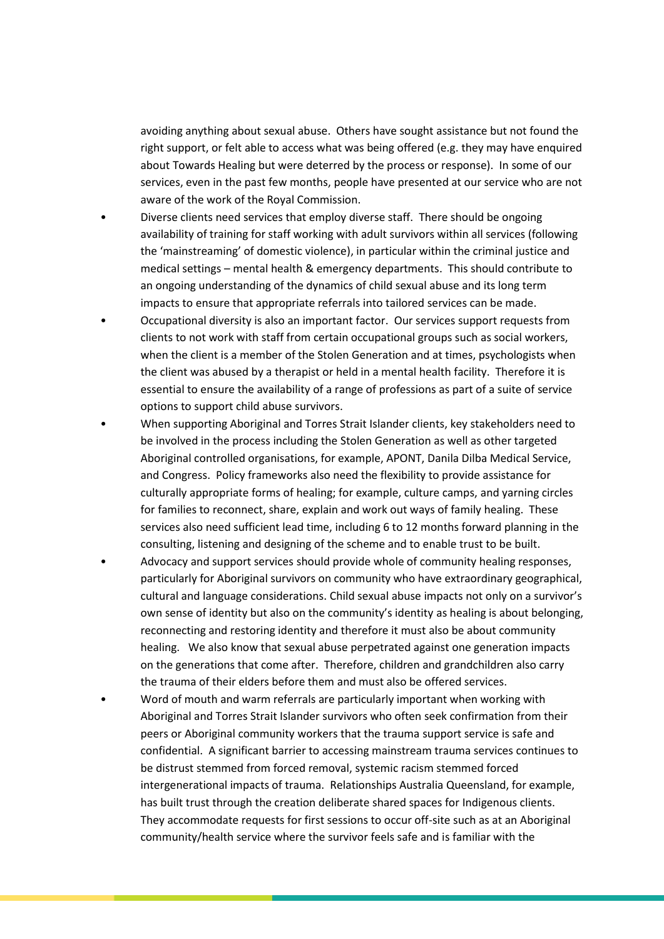avoiding anything about sexual abuse. Others have sought assistance but not found the right support, or felt able to access what was being offered (e.g. they may have enquired about Towards Healing but were deterred by the process or response). In some of our services, even in the past few months, people have presented at our service who are not aware of the work of the Royal Commission.

- Diverse clients need services that employ diverse staff. There should be ongoing availability of training for staff working with adult survivors within all services (following the 'mainstreaming' of domestic violence), in particular within the criminal justice and medical settings – mental health & emergency departments. This should contribute to an ongoing understanding of the dynamics of child sexual abuse and its long term impacts to ensure that appropriate referrals into tailored services can be made.
- Occupational diversity is also an important factor. Our services support requests from clients to not work with staff from certain occupational groups such as social workers, when the client is a member of the Stolen Generation and at times, psychologists when the client was abused by a therapist or held in a mental health facility. Therefore it is essential to ensure the availability of a range of professions as part of a suite of service options to support child abuse survivors.
- When supporting Aboriginal and Torres Strait Islander clients, key stakeholders need to be involved in the process including the Stolen Generation as well as other targeted Aboriginal controlled organisations, for example, APONT, Danila Dilba Medical Service, and Congress. Policy frameworks also need the flexibility to provide assistance for culturally appropriate forms of healing; for example, culture camps, and yarning circles for families to reconnect, share, explain and work out ways of family healing. These services also need sufficient lead time, including 6 to 12 months forward planning in the consulting, listening and designing of the scheme and to enable trust to be built.
- Advocacy and support services should provide whole of community healing responses, particularly for Aboriginal survivors on community who have extraordinary geographical, cultural and language considerations. Child sexual abuse impacts not only on a survivor's own sense of identity but also on the community's identity as healing is about belonging, reconnecting and restoring identity and therefore it must also be about community healing. We also know that sexual abuse perpetrated against one generation impacts on the generations that come after. Therefore, children and grandchildren also carry the trauma of their elders before them and must also be offered services.
- Word of mouth and warm referrals are particularly important when working with Aboriginal and Torres Strait Islander survivors who often seek confirmation from their peers or Aboriginal community workers that the trauma support service is safe and confidential. A significant barrier to accessing mainstream trauma services continues to be distrust stemmed from forced removal, systemic racism stemmed forced intergenerational impacts of trauma. Relationships Australia Queensland, for example, has built trust through the creation deliberate shared spaces for Indigenous clients. They accommodate requests for first sessions to occur off-site such as at an Aboriginal community/health service where the survivor feels safe and is familiar with the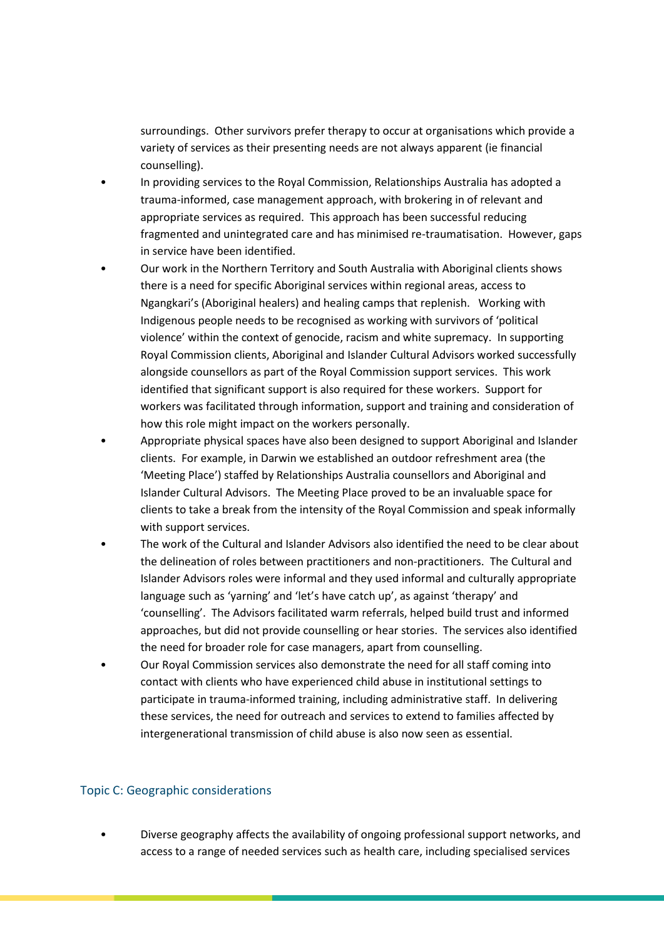surroundings. Other survivors prefer therapy to occur at organisations which provide a variety of services as their presenting needs are not always apparent (ie financial counselling).

- In providing services to the Royal Commission, Relationships Australia has adopted a trauma-informed, case management approach, with brokering in of relevant and appropriate services as required. This approach has been successful reducing fragmented and unintegrated care and has minimised re-traumatisation. However, gaps in service have been identified.
- Our work in the Northern Territory and South Australia with Aboriginal clients shows there is a need for specific Aboriginal services within regional areas, access to Ngangkari's (Aboriginal healers) and healing camps that replenish. Working with Indigenous people needs to be recognised as working with survivors of 'political violence' within the context of genocide, racism and white supremacy. In supporting Royal Commission clients, Aboriginal and Islander Cultural Advisors worked successfully alongside counsellors as part of the Royal Commission support services. This work identified that significant support is also required for these workers. Support for workers was facilitated through information, support and training and consideration of how this role might impact on the workers personally.
- Appropriate physical spaces have also been designed to support Aboriginal and Islander clients. For example, in Darwin we established an outdoor refreshment area (the 'Meeting Place') staffed by Relationships Australia counsellors and Aboriginal and Islander Cultural Advisors. The Meeting Place proved to be an invaluable space for clients to take a break from the intensity of the Royal Commission and speak informally with support services.
- The work of the Cultural and Islander Advisors also identified the need to be clear about the delineation of roles between practitioners and non-practitioners. The Cultural and Islander Advisors roles were informal and they used informal and culturally appropriate language such as 'yarning' and 'let's have catch up', as against 'therapy' and 'counselling'. The Advisors facilitated warm referrals, helped build trust and informed approaches, but did not provide counselling or hear stories. The services also identified the need for broader role for case managers, apart from counselling.
- Our Royal Commission services also demonstrate the need for all staff coming into contact with clients who have experienced child abuse in institutional settings to participate in trauma-informed training, including administrative staff. In delivering these services, the need for outreach and services to extend to families affected by intergenerational transmission of child abuse is also now seen as essential.

#### Topic C: Geographic considerations

• Diverse geography affects the availability of ongoing professional support networks, and access to a range of needed services such as health care, including specialised services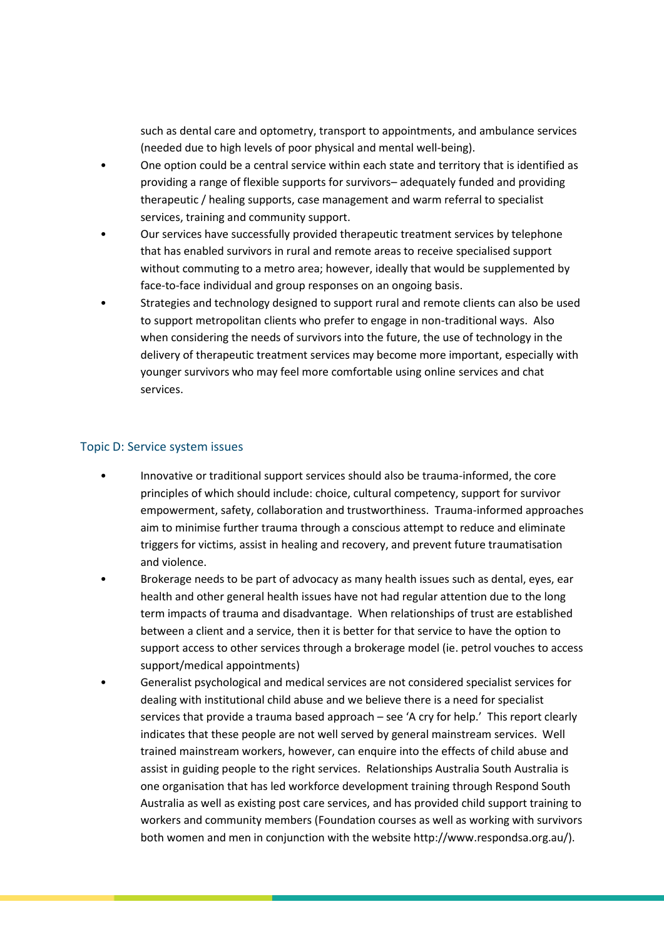such as dental care and optometry, transport to appointments, and ambulance services (needed due to high levels of poor physical and mental well-being).

- One option could be a central service within each state and territory that is identified as providing a range of flexible supports for survivors– adequately funded and providing therapeutic / healing supports, case management and warm referral to specialist services, training and community support.
- Our services have successfully provided therapeutic treatment services by telephone that has enabled survivors in rural and remote areas to receive specialised support without commuting to a metro area; however, ideally that would be supplemented by face-to-face individual and group responses on an ongoing basis.
- Strategies and technology designed to support rural and remote clients can also be used to support metropolitan clients who prefer to engage in non-traditional ways. Also when considering the needs of survivors into the future, the use of technology in the delivery of therapeutic treatment services may become more important, especially with younger survivors who may feel more comfortable using online services and chat services.

#### Topic D: Service system issues

- Innovative or traditional support services should also be trauma-informed, the core principles of which should include: choice, cultural competency, support for survivor empowerment, safety, collaboration and trustworthiness. Trauma-informed approaches aim to minimise further trauma through a conscious attempt to reduce and eliminate triggers for victims, assist in healing and recovery, and prevent future traumatisation and violence.
- Brokerage needs to be part of advocacy as many health issues such as dental, eyes, ear health and other general health issues have not had regular attention due to the long term impacts of trauma and disadvantage. When relationships of trust are established between a client and a service, then it is better for that service to have the option to support access to other services through a brokerage model (ie. petrol vouches to access support/medical appointments)
- Generalist psychological and medical services are not considered specialist services for dealing with institutional child abuse and we believe there is a need for specialist services that provide a trauma based approach – see 'A cry for help.' This report clearly indicates that these people are not well served by general mainstream services. Well trained mainstream workers, however, can enquire into the effects of child abuse and assist in guiding people to the right services. Relationships Australia South Australia is one organisation that has led workforce development training through Respond South Australia as well as existing post care services, and has provided child support training to workers and community members (Foundation courses as well as working with survivors both women and men in conjunction with the website http://www.respondsa.org.au/).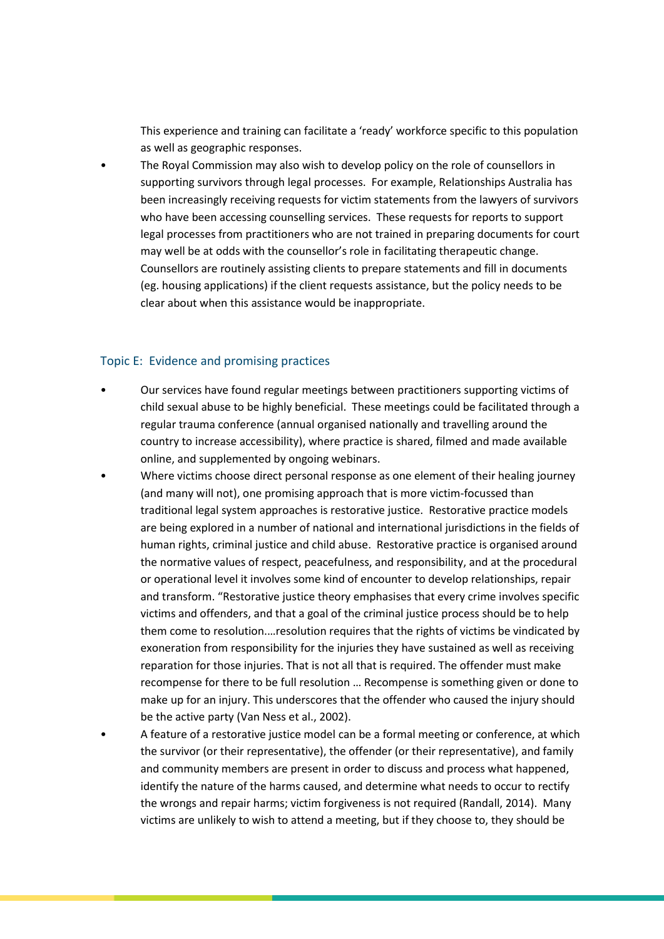This experience and training can facilitate a 'ready' workforce specific to this population as well as geographic responses.

• The Royal Commission may also wish to develop policy on the role of counsellors in supporting survivors through legal processes. For example, Relationships Australia has been increasingly receiving requests for victim statements from the lawyers of survivors who have been accessing counselling services. These requests for reports to support legal processes from practitioners who are not trained in preparing documents for court may well be at odds with the counsellor's role in facilitating therapeutic change. Counsellors are routinely assisting clients to prepare statements and fill in documents (eg. housing applications) if the client requests assistance, but the policy needs to be clear about when this assistance would be inappropriate.

#### Topic E: Evidence and promising practices

- Our services have found regular meetings between practitioners supporting victims of child sexual abuse to be highly beneficial. These meetings could be facilitated through a regular trauma conference (annual organised nationally and travelling around the country to increase accessibility), where practice is shared, filmed and made available online, and supplemented by ongoing webinars.
- Where victims choose direct personal response as one element of their healing journey (and many will not), one promising approach that is more victim-focussed than traditional legal system approaches is restorative justice. Restorative practice models are being explored in a number of national and international jurisdictions in the fields of human rights, criminal justice and child abuse. Restorative practice is organised around the normative values of respect, peacefulness, and responsibility, and at the procedural or operational level it involves some kind of encounter to develop relationships, repair and transform. "Restorative justice theory emphasises that every crime involves specific victims and offenders, and that a goal of the criminal justice process should be to help them come to resolution.…resolution requires that the rights of victims be vindicated by exoneration from responsibility for the injuries they have sustained as well as receiving reparation for those injuries. That is not all that is required. The offender must make recompense for there to be full resolution … Recompense is something given or done to make up for an injury. This underscores that the offender who caused the injury should be the active party (Van Ness et al., 2002).
- A feature of a restorative justice model can be a formal meeting or conference, at which the survivor (or their representative), the offender (or their representative), and family and community members are present in order to discuss and process what happened, identify the nature of the harms caused, and determine what needs to occur to rectify the wrongs and repair harms; victim forgiveness is not required (Randall, 2014). Many victims are unlikely to wish to attend a meeting, but if they choose to, they should be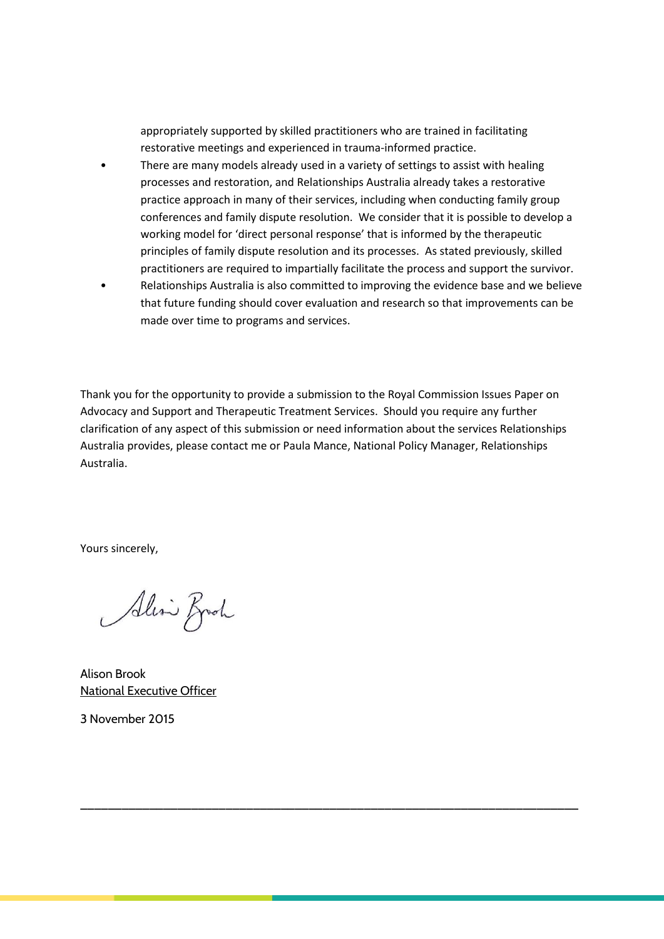appropriately supported by skilled practitioners who are trained in facilitating restorative meetings and experienced in trauma-informed practice.

- There are many models already used in a variety of settings to assist with healing processes and restoration, and Relationships Australia already takes a restorative practice approach in many of their services, including when conducting family group conferences and family dispute resolution. We consider that it is possible to develop a working model for 'direct personal response' that is informed by the therapeutic principles of family dispute resolution and its processes. As stated previously, skilled practitioners are required to impartially facilitate the process and support the survivor.
- Relationships Australia is also committed to improving the evidence base and we believe that future funding should cover evaluation and research so that improvements can be made over time to programs and services.

Thank you for the opportunity to provide a submission to the Royal Commission Issues Paper on Advocacy and Support and Therapeutic Treatment Services. Should you require any further clarification of any aspect of this submission or need information about the services Relationships Australia provides, please contact me or Paula Mance, National Policy Manager, Relationships Australia.

\_\_\_\_\_\_\_\_\_\_\_\_\_\_\_\_\_\_\_\_\_\_\_\_\_\_\_\_\_\_\_\_\_\_\_\_\_\_\_\_\_\_\_\_\_\_\_\_\_\_\_\_\_\_\_\_\_\_\_\_\_\_\_\_\_\_\_\_\_\_\_\_

Yours sincerely,

Alin Broch

Alison Brook National Executive Officer

3 November 2015